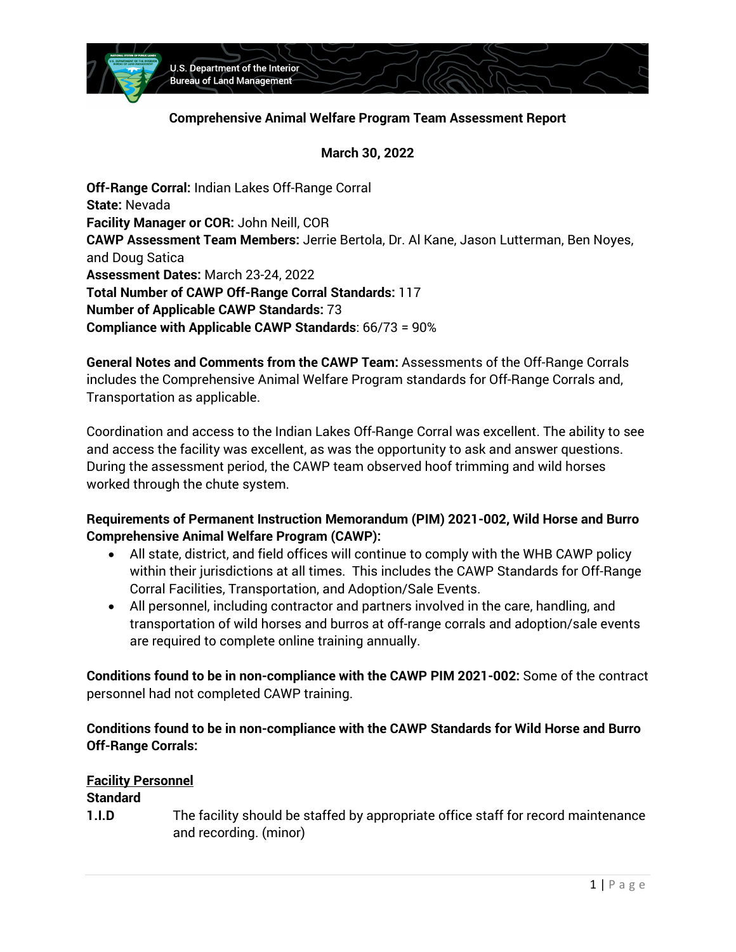

### **Comprehensive Animal Welfare Program Team Assessment Report**

**March 30, 2022** 

 **State:** Nevada **CAWP Assessment Team Members:** Jerrie Bertola, Dr. Al Kane, Jason Lutterman, Ben Noyes, **Total Number of CAWP Off-Range Corral Standards:** 117 **Number of Applicable CAWP Standards:** 73 **Compliance with Applicable CAWP Standards**: 66/73 = 90% **Off-Range Corral:** Indian Lakes Off-Range Corral **Facility Manager or COR:** John Neill, COR and Doug Satica **Assessment Dates:** March 23-24, 2022

 **General Notes and Comments from the CAWP Team:** Assessments of the Off-Range Corrals includes the Comprehensive Animal Welfare Program standards for Off-Range Corrals and, Transportation as applicable.

Transportation as applicable.<br>Coordination and access to the Indian Lakes Off-Range Corral was excellent. The ability to see and access the facility was excellent, as was the opportunity to ask and answer questions. During the assessment period, the CAWP team observed hoof trimming and wild horses worked through the chute system.

# **Requirements of Permanent Instruction Memorandum (PIM) 2021-002, Wild Horse and Burro Comprehensive Animal Welfare Program (CAWP):**

- • All state, district, and field offices will continue to comply with the WHB CAWP policy within their jurisdictions at all times. This includes the CAWP Standards for Off-Range Corral Facilities, Transportation, and Adoption/Sale Events.
- • All personnel, including contractor and partners involved in the care, handling, and transportation of wild horses and burros at off-range corrals and adoption/sale events are required to complete online training annually.

 **Conditions found to be in non-compliance with the CAWP PIM 2021-002:** Some of the contract personnel had not completed CAWP training.

# **Conditions found to be in non-compliance with the CAWP Standards for Wild Horse and Burro Off-Range Corrals:**

# **Facility Personnel**

# **Standard**

- 
- **1.I.D** The facility should be staffed by appropriate office staff for record maintenance and recording. (minor)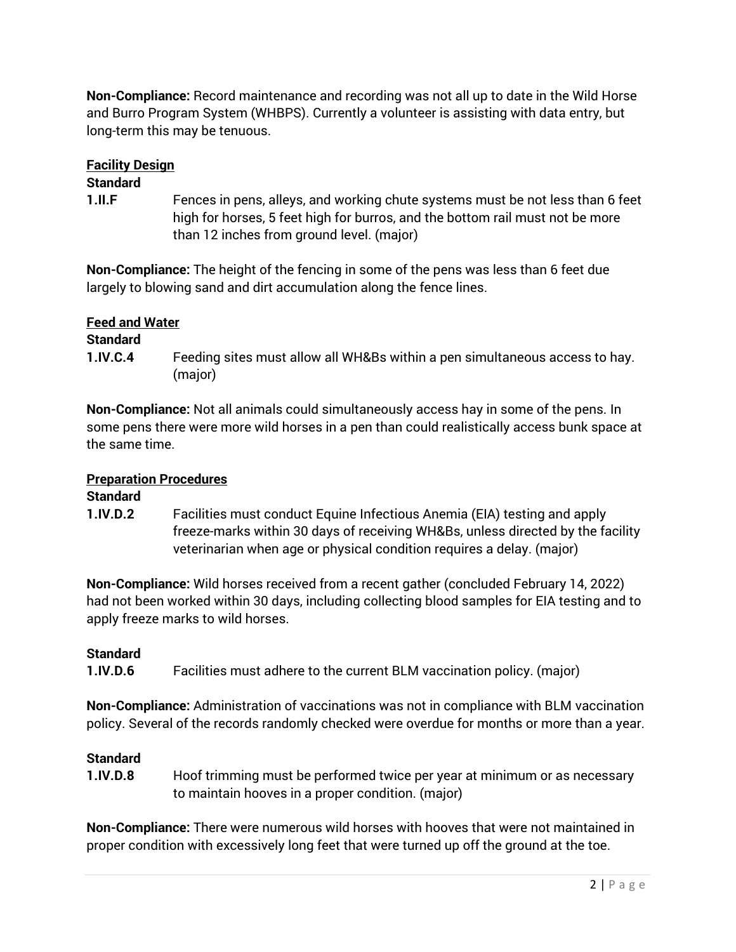**Non-Compliance:** Record maintenance and recording was not all up to date in the Wild Horse and Burro Program System (WHBPS). Currently a volunteer is assisting with data entry, but long-term this may be tenuous.

#### **Facility Design**

#### **Standard**

**1.II.F** Fences in pens, alleys, and working chute systems must be not less than 6 feet high for horses, 5 feet high for burros, and the bottom rail must not be more than 12 inches from ground level. (major)

 **Non-Compliance:** The height of the fencing in some of the pens was less than 6 feet due largely to blowing sand and dirt accumulation along the fence lines.

#### **Feed and Water**

#### **Standard**

 **1.IV.C.4** Feeding sites must allow all WH&Bs within a pen simultaneous access to hay. (major)

 **Non-Compliance:** Not all animals could simultaneously access hay in some of the pens. In some pens there were more wild horses in a pen than could realistically access bunk space at the same time.

# **Preparation Procedures**

# **Standard**

 **1.IV.D.2** Facilities must conduct Equine Infectious Anemia (EIA) testing and apply freeze-marks within 30 days of receiving WH&Bs, unless directed by the facility veterinarian when age or physical condition requires a delay. (major)

 **Non-Compliance:** Wild horses received from a recent gather (concluded February 14, 2022) had not been worked within 30 days, including collecting blood samples for EIA testing and to apply freeze marks to wild horses.

# **Standard**

**1.IV.D.6** Facilities must adhere to the current BLM vaccination policy. (major)

 **Non-Compliance:** Administration of vaccinations was not in compliance with BLM vaccination policy. Several of the records randomly checked were overdue for months or more than a year.

# **Standard**

 **1.IV.D.8** Hoof trimming must be performed twice per year at minimum or as necessary to maintain hooves in a proper condition. (major)

 **Non-Compliance:** There were numerous wild horses with hooves that were not maintained in proper condition with excessively long feet that were turned up off the ground at the toe.